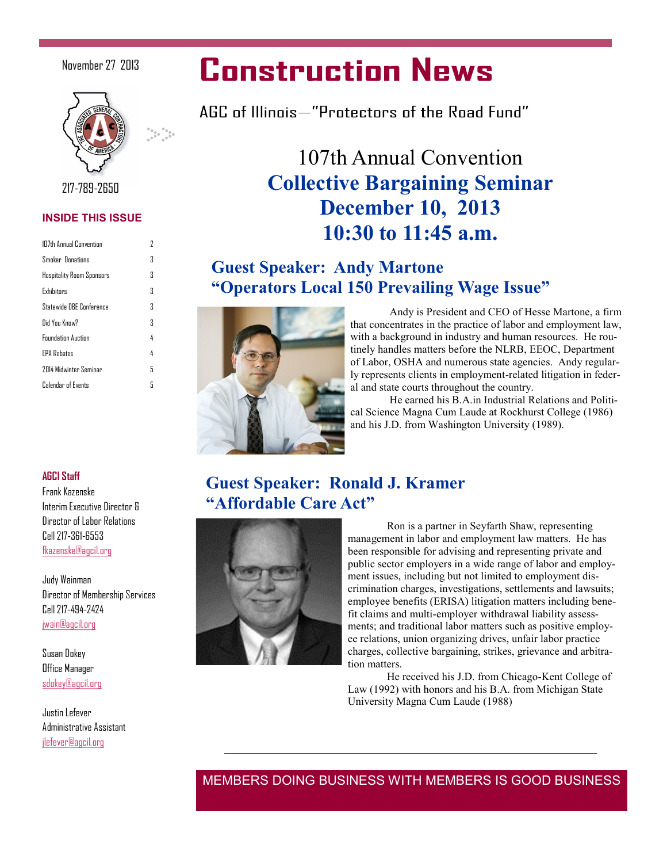#### November 27 2013



217-789-2650

#### **INSIDE THIS ISSUE**

| 107th Annual Convention          | 7 |
|----------------------------------|---|
| Smoker Donations                 | Χ |
| <b>Hospitality Room Sponsors</b> | 3 |
| <b>Fxhihitnes</b>                | 3 |
| Statewide DRF Conference         | 3 |
| Did You Know?                    | Χ |
| <b>Foundation Auction</b>        | 4 |
| <b>FPA Rehates</b>               | 4 |
| 2014 Midwinter Seminar           | 5 |
| Calendar of Events               | 5 |
|                                  |   |

# **Construction News**

AGC of Illinois—"Protectors of the Road Fund"

# 107th Annual Convention **Collective Bargaining Seminar December 10, 2013 10:30 to 11:45 a.m.**

### **Guest Speaker: Andy Martone "Operators Local 150 Prevailing Wage Issue"**



Andy is President and CEO of Hesse Martone, a firm that concentrates in the practice of labor and employment law, with a background in industry and human resources. He routinely handles matters before the NLRB, EEOC, Department of Labor, OSHA and numerous state agencies. Andy regularly represents clients in employment-related litigation in federal and state courts throughout the country.

He earned his B.A.in Industrial Relations and Political Science Magna Cum Laude at Rockhurst College (1986) and his J.D. from Washington University (1989).

## **Guest Speaker: Ronald J. Kramer "Affordable Care Act"**



Ron is a partner in Seyfarth Shaw, representing management in labor and employment law matters. He has been responsible for advising and representing private and public sector employers in a wide range of labor and employment issues, including but not limited to employment discrimination charges, investigations, settlements and lawsuits; employee benefits (ERISA) litigation matters including benefit claims and multi-employer withdrawal liability assessments; and traditional labor matters such as positive employee relations, union organizing drives, unfair labor practice charges, collective bargaining, strikes, grievance and arbitration matters.

He received his J.D. from Chicago-Kent College of Law (1992) with honors and his B.A. from Michigan State University Magna Cum Laude (1988)

#### **AGCI Staff**

Frank Kazenske Interim Executive Director & Director of Labor Relations Cell 217-361-6553 [fkazenske@agcil.org](mailto:fkasenske@agcil.org)

Judy Wainman Director of Membership Services Cell 217-494-2424 [jwain@agcil.org](mailto:jwain@agcil.org)

Susan Dokey Office Manager [sdokey@agcil.org](mailto:sdokey@agcil.org)

Justin Lefever Administrative Assistant [jlefever@agcil.org](mailto:jlefever@agcil.org)

MEMBERS DOING BUSINESS WITH MEMBERS IS GOOD BUSINESS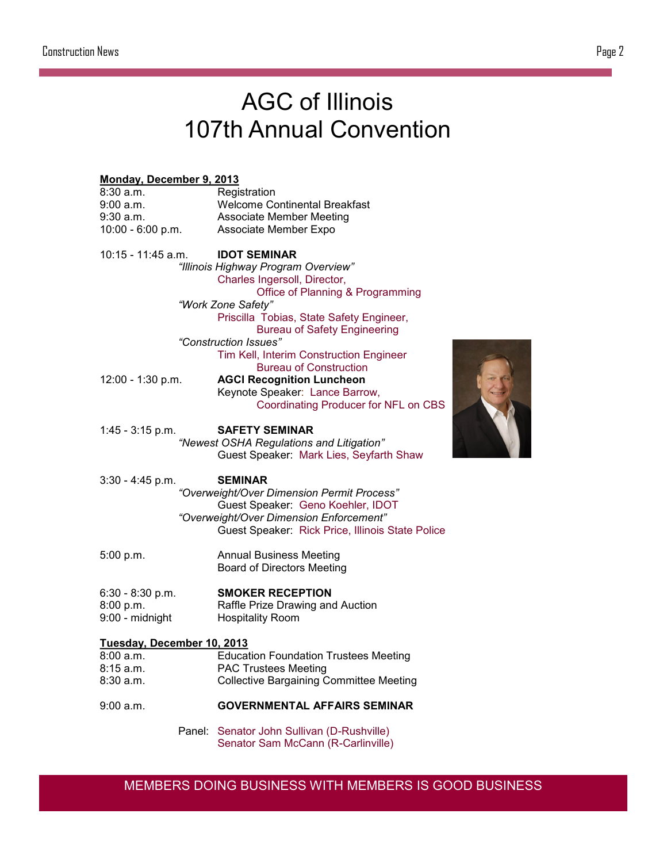# AGC of Illinois 107th Annual Convention

| Monday, December 9, 2013                |                                                  |  |
|-----------------------------------------|--------------------------------------------------|--|
| 8:30 a.m.                               | Registration                                     |  |
| $9:00$ a.m.                             | <b>Welcome Continental Breakfast</b>             |  |
| 9:30 a.m.                               | <b>Associate Member Meeting</b>                  |  |
| $10:00 - 6:00 p.m.$                     | Associate Member Expo                            |  |
| 10:15 - 11:45 a.m.                      | <b>IDOT SEMINAR</b>                              |  |
|                                         | "Illinois Highway Program Overview"              |  |
|                                         | Charles Ingersoll, Director,                     |  |
|                                         | Office of Planning & Programming                 |  |
|                                         | "Work Zone Safety"                               |  |
|                                         | Priscilla Tobias, State Safety Engineer,         |  |
|                                         | <b>Bureau of Safety Engineering</b>              |  |
|                                         | "Construction Issues"                            |  |
|                                         | Tim Kell, Interim Construction Engineer          |  |
|                                         | <b>Bureau of Construction</b>                    |  |
| 12:00 - 1:30 p.m.                       | <b>AGCI Recognition Luncheon</b>                 |  |
|                                         | Keynote Speaker: Lance Barrow,                   |  |
|                                         | Coordinating Producer for NFL on CBS             |  |
|                                         |                                                  |  |
| $1:45 - 3:15$ p.m.                      | <b>SAFETY SEMINAR</b>                            |  |
|                                         | "Newest OSHA Regulations and Litigation"         |  |
|                                         | Guest Speaker: Mark Lies, Seyfarth Shaw          |  |
|                                         |                                                  |  |
| 3:30 - 4:45 p.m.                        | <b>SEMINAR</b>                                   |  |
|                                         | "Overweight/Over Dimension Permit Process"       |  |
|                                         | Guest Speaker: Geno Koehler, IDOT                |  |
|                                         | "Overweight/Over Dimension Enforcement"          |  |
|                                         | Guest Speaker: Rick Price, Illinois State Police |  |
|                                         |                                                  |  |
| 5:00 p.m.                               | <b>Annual Business Meeting</b>                   |  |
|                                         | <b>Board of Directors Meeting</b>                |  |
|                                         |                                                  |  |
| $6:30 - 8:30 p.m.$                      | <b>SMOKER RECEPTION</b>                          |  |
| 8:00 p.m.                               | Raffle Prize Drawing and Auction                 |  |
| 9:00 - midnight                         | <b>Hospitality Room</b>                          |  |
|                                         |                                                  |  |
| Tuesday, December 10, 2013<br>8:00 a.m. | <b>Education Foundation Trustees Meeting</b>     |  |
| 8:15 a.m.                               | <b>PAC Trustees Meeting</b>                      |  |
| 8:30 a.m.                               | <b>Collective Bargaining Committee Meeting</b>   |  |
|                                         |                                                  |  |
| 9:00 a.m.                               | <b>GOVERNMENTAL AFFAIRS SEMINAR</b>              |  |
| Panel:                                  | Senator John Sullivan (D-Rushville)              |  |

Senator Sam McCann (R-Carlinville)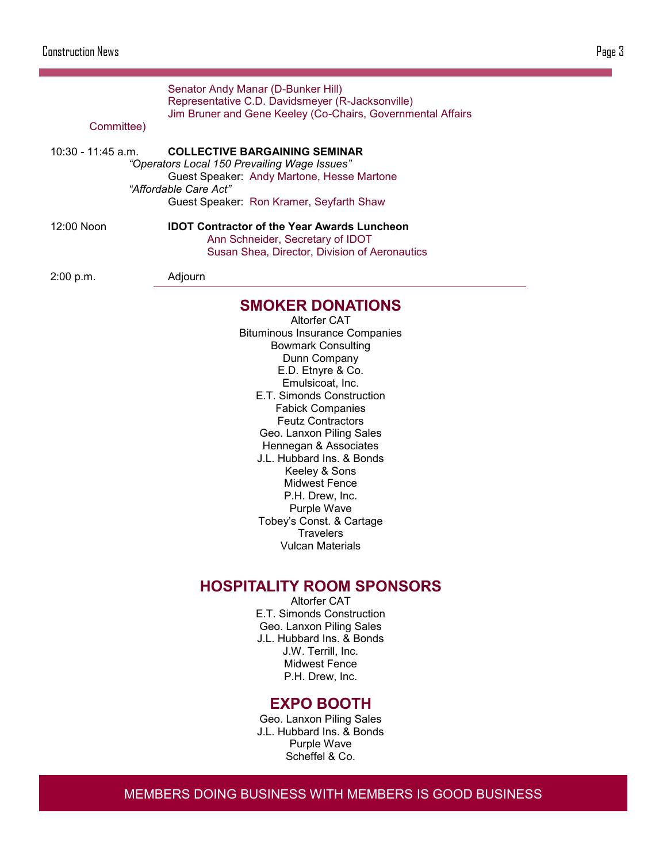**SMOKER DONATIONS** Altorfer CAT Bituminous Insurance Companies Bowmark Consulting Senator Andy Manar (D-Bunker Hill) Representative C.D. Davidsmeyer (R-Jacksonville) Jim Bruner and Gene Keeley (Co-Chairs, Governmental Affairs Committee) 10:30 - 11:45 a.m. **COLLECTIVE BARGAINING SEMINAR** *"Operators Local 150 Prevailing Wage Issues"* Guest Speaker: Andy Martone, Hesse Martone *"Affordable Care Act"* Guest Speaker: Ron Kramer, Seyfarth Shaw 12:00 Noon **IDOT Contractor of the Year Awards Luncheon** Ann Schneider, Secretary of IDOT Susan Shea, Director, Division of Aeronautics 2:00 p.m. Adjourn

Dunn Company E.D. Etnyre & Co. Emulsicoat, Inc. E.T. Simonds Construction Fabick Companies Feutz Contractors Geo. Lanxon Piling Sales Hennegan & Associates J.L. Hubbard Ins. & Bonds Keeley & Sons Midwest Fence P.H. Drew, Inc. Purple Wave Tobey's Const. & Cartage **Travelers** Vulcan Materials

### **HOSPITALITY ROOM SPONSORS**

Altorfer CAT E.T. Simonds Construction Geo. Lanxon Piling Sales J.L. Hubbard Ins. & Bonds J.W. Terrill, Inc. Midwest Fence P.H. Drew, Inc.

### **EXPO BOOTH**

Geo. Lanxon Piling Sales J.L. Hubbard Ins. & Bonds Purple Wave Scheffel & Co.

MEMBERS DOING BUSINESS WITH MEMBERS IS GOOD BUSINESS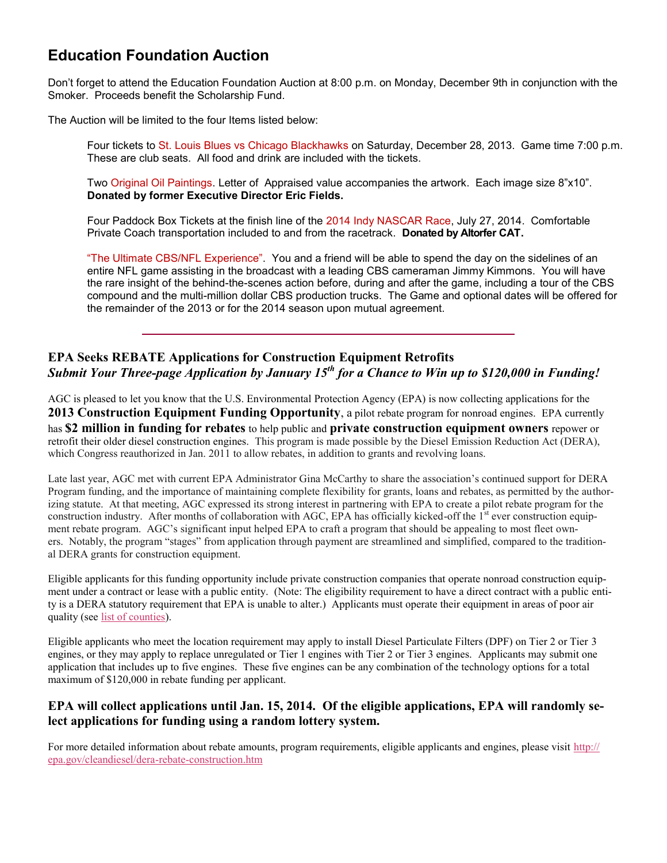### **Education Foundation Auction**

Don't forget to attend the Education Foundation Auction at 8:00 p.m. on Monday, December 9th in conjunction with the Smoker. Proceeds benefit the Scholarship Fund.

The Auction will be limited to the four Items listed below:

Four tickets to St. Louis Blues vs Chicago Blackhawks on Saturday, December 28, 2013. Game time 7:00 p.m. These are club seats. All food and drink are included with the tickets.

Two Original Oil Paintings. Letter of Appraised value accompanies the artwork. Each image size 8"x10". **Donated by former Executive Director Eric Fields.**

Four Paddock Box Tickets at the finish line of the 2014 Indy NASCAR Race, July 27, 2014. Comfortable Private Coach transportation included to and from the racetrack. **Donated by Altorfer CAT.**

"The Ultimate CBS/NFL Experience". You and a friend will be able to spend the day on the sidelines of an entire NFL game assisting in the broadcast with a leading CBS cameraman Jimmy Kimmons. You will have the rare insight of the behind-the-scenes action before, during and after the game, including a tour of the CBS compound and the multi-million dollar CBS production trucks. The Game and optional dates will be offered for the remainder of the 2013 or for the 2014 season upon mutual agreement.

#### **EPA Seeks REBATE Applications for Construction Equipment Retrofits** *Submit Your Three-page Application by January 15th for a Chance to Win up to \$120,000 in Funding!*

AGC is pleased to let you know that the U.S. Environmental Protection Agency (EPA) is now collecting applications for the **2013 Construction Equipment Funding Opportunity**, a pilot rebate program for nonroad engines. EPA currently has **\$2 million in funding for rebates** to help public and **private construction equipment owners** repower or retrofit their older diesel construction engines. This program is made possible by the Diesel Emission Reduction Act (DERA), which Congress reauthorized in Jan. 2011 to allow rebates, in addition to grants and revolving loans.

Late last year, AGC met with current EPA Administrator Gina McCarthy to share the association's continued support for DERA Program funding, and the importance of maintaining complete flexibility for grants, loans and rebates, as permitted by the authorizing statute. At that meeting, AGC expressed its strong interest in partnering with EPA to create a pilot rebate program for the construction industry. After months of collaboration with AGC, EPA has officially kicked-off the  $1<sup>st</sup>$  ever construction equipment rebate program. AGC's significant input helped EPA to craft a program that should be appealing to most fleet owners. Notably, the program "stages" from application through payment are streamlined and simplified, compared to the traditional DERA grants for construction equipment.

Eligible applicants for this funding opportunity include private construction companies that operate nonroad construction equipment under a contract or lease with a public entity. (Note: The eligibility requirement to have a direct contract with a public entity is a DERA statutory requirement that EPA is unable to alter.) Applicants must operate their equipment in areas of poor air quality (see <u>list of counties</u>).

Eligible applicants who meet the location requirement may apply to install Diesel Particulate Filters (DPF) on Tier 2 or Tier 3 engines, or they may apply to replace unregulated or Tier 1 engines with Tier 2 or Tier 3 engines. Applicants may submit one application that includes up to five engines. These five engines can be any combination of the technology options for a total maximum of \$120,000 in rebate funding per applicant.

#### **EPA will collect applications until Jan. 15, 2014. Of the eligible applications, EPA will randomly select applications for funding using a random lottery system.**

For more detailed information about rebate amounts, program requirements, eligible applicants and engines, please visit [http://](http://r20.rs6.net/tn.jsp?e=001ThW8IXyPr_zjREZ59g1NbdlPIa7htLPvTjrWTPLySX4zjqXx8qh5kWhcOj0hI8gXIkhpRLrzfeEhei6-DE6YT50Yj8lW8rjzAo4sy1MgCk5ibSeRL3LbqmGmn0MHCw-wGRwtBGoggVQZeXS_q2hS32rO9TETS8ZbxCuXYtxRtSqew2ovM1K4ZDMPmSSWFqU7xJWOFQIHEi5S3gKbL5QnncOzkb8BemLXNAo8) [epa.gov/cleandiesel/dera](http://r20.rs6.net/tn.jsp?e=001ThW8IXyPr_zjREZ59g1NbdlPIa7htLPvTjrWTPLySX4zjqXx8qh5kWhcOj0hI8gXIkhpRLrzfeEhei6-DE6YT50Yj8lW8rjzAo4sy1MgCk5ibSeRL3LbqmGmn0MHCw-wGRwtBGoggVQZeXS_q2hS32rO9TETS8ZbxCuXYtxRtSqew2ovM1K4ZDMPmSSWFqU7xJWOFQIHEi5S3gKbL5QnncOzkb8BemLXNAo8)-rebate-construction.htm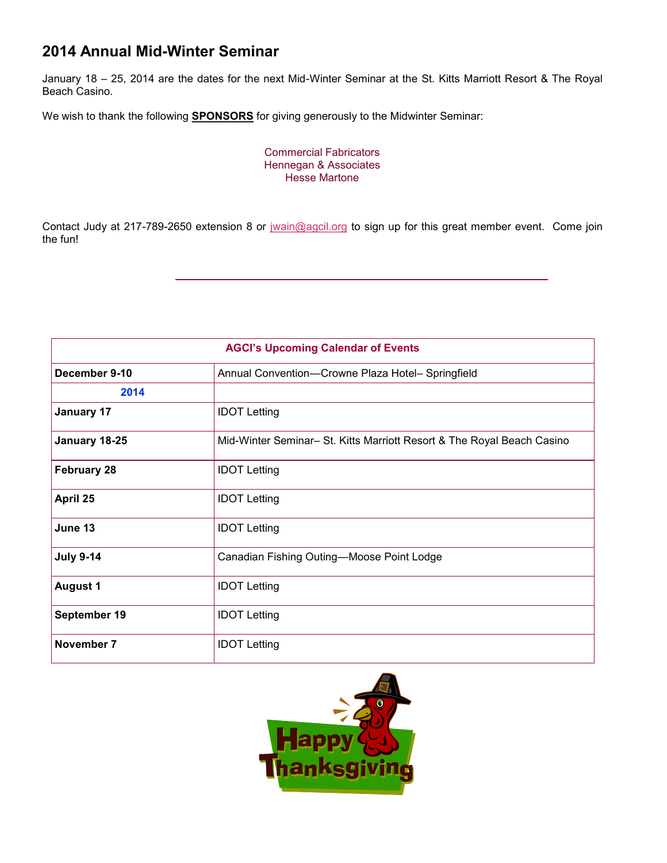### **2014 Annual Mid-Winter Seminar**

January 18 – 25, 2014 are the dates for the next Mid-Winter Seminar at the St. Kitts Marriott Resort & The Royal Beach Casino.

We wish to thank the following **SPONSORS** for giving generously to the Midwinter Seminar:

Commercial Fabricators Hennegan & Associates Hesse Martone

Contact Judy at 217-789-2650 extension 8 or [jwain@agcil.org](mailto:jwain@agcil.org) to sign up for this great member event. Come join the fun!

| <b>AGCI's Upcoming Calendar of Events</b> |                                                                        |  |  |  |
|-------------------------------------------|------------------------------------------------------------------------|--|--|--|
| December 9-10                             | Annual Convention-Crowne Plaza Hotel- Springfield                      |  |  |  |
| 2014                                      |                                                                        |  |  |  |
| <b>January 17</b>                         | <b>IDOT Letting</b>                                                    |  |  |  |
| January 18-25                             | Mid-Winter Seminar- St. Kitts Marriott Resort & The Royal Beach Casino |  |  |  |
| <b>February 28</b>                        | <b>IDOT Letting</b>                                                    |  |  |  |
| April 25                                  | <b>IDOT Letting</b>                                                    |  |  |  |
| June 13                                   | <b>IDOT Letting</b>                                                    |  |  |  |
| <b>July 9-14</b>                          | Canadian Fishing Outing-Moose Point Lodge                              |  |  |  |
| <b>August 1</b>                           | <b>IDOT Letting</b>                                                    |  |  |  |
| September 19                              | <b>IDOT Letting</b>                                                    |  |  |  |
| November 7                                | <b>IDOT Letting</b>                                                    |  |  |  |

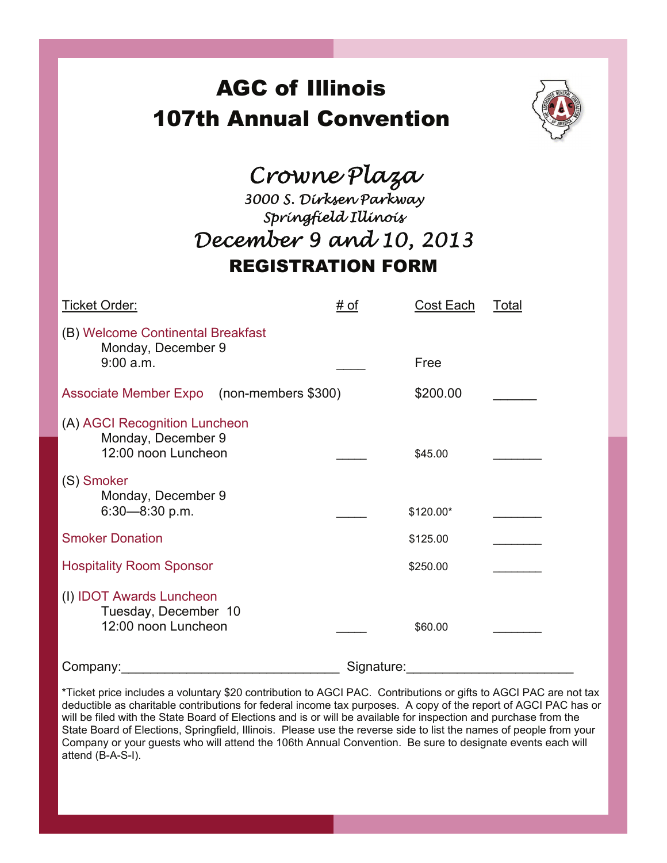# AGC of Illinois 107th Annual Convention



# *Crowne Plaza*

# *3000 S. Dirksen Parkway Springfield Illinois December 9 and 10, 2013*  REGISTRATION FORM

| Ticket Order:                                                              | # of       | Cost Each | Total |
|----------------------------------------------------------------------------|------------|-----------|-------|
| (B) Welcome Continental Breakfast<br>Monday, December 9<br>9:00 a.m.       |            | Free      |       |
|                                                                            |            |           |       |
| Associate Member Expo (non-members \$300)                                  |            | \$200.00  |       |
| (A) AGCI Recognition Luncheon<br>Monday, December 9<br>12:00 noon Luncheon |            | \$45.00   |       |
| (S) Smoker<br>Monday, December 9<br>$6:30 - 8:30$ p.m.                     |            | \$120.00* |       |
| <b>Smoker Donation</b>                                                     |            | \$125.00  |       |
| <b>Hospitality Room Sponsor</b>                                            |            | \$250.00  |       |
| (I) IDOT Awards Luncheon<br>Tuesday, December 10<br>12:00 noon Luncheon    |            | \$60.00   |       |
| Company:                                                                   | Signature: |           |       |

\*Ticket price includes a voluntary \$20 contribution to AGCI PAC. Contributions or gifts to AGCI PAC are not tax deductible as charitable contributions for federal income tax purposes. A copy of the report of AGCI PAC has or will be filed with the State Board of Elections and is or will be available for inspection and purchase from the State Board of Elections, Springfield, Illinois. Please use the reverse side to list the names of people from your Company or your guests who will attend the 106th Annual Convention. Be sure to designate events each will attend (B-A-S-I).